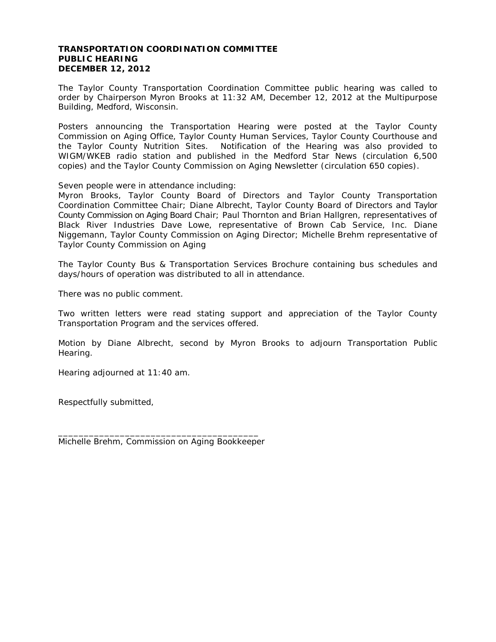## **TRANSPORTATION COORDINATION COMMITTEE PUBLIC HEARING DECEMBER 12, 2012**

The Taylor County Transportation Coordination Committee public hearing was called to order by Chairperson Myron Brooks at 11:32 AM, December 12, 2012 at the Multipurpose Building, Medford, Wisconsin.

Posters announcing the Transportation Hearing were posted at the Taylor County Commission on Aging Office, Taylor County Human Services, Taylor County Courthouse and the Taylor County Nutrition Sites. Notification of the Hearing was also provided to WIGM/WKEB radio station and published in the Medford Star News *(circulation 6,500 copies)* and the Taylor County Commission on Aging Newsletter *(circulation 650 copies)*.

Seven people were in attendance including:

Myron Brooks, Taylor County Board of Directors and Taylor County Transportation Coordination Committee Chair; Diane Albrecht, Taylor County Board of Directors and Taylor County Commission on Aging Board Chair; Paul Thornton and Brian Hallgren, representatives of Black River Industries Dave Lowe, representative of Brown Cab Service, Inc. Diane Niggemann, Taylor County Commission on Aging Director; Michelle Brehm representative of Taylor County Commission on Aging

The Taylor County Bus & Transportation Services Brochure containing bus schedules and days/hours of operation was distributed to all in attendance.

There was no public comment.

Two written letters were read stating support and appreciation of the Taylor County Transportation Program and the services offered.

Motion by Diane Albrecht, second by Myron Brooks to adjourn Transportation Public Hearing.

Hearing adjourned at 11:40 am.

Respectfully submitted,

\_\_\_\_\_\_\_\_\_\_\_\_\_\_\_\_\_\_\_\_\_\_\_\_\_\_\_\_\_\_\_\_\_\_\_\_\_\_\_ Michelle Brehm, Commission on Aging Bookkeeper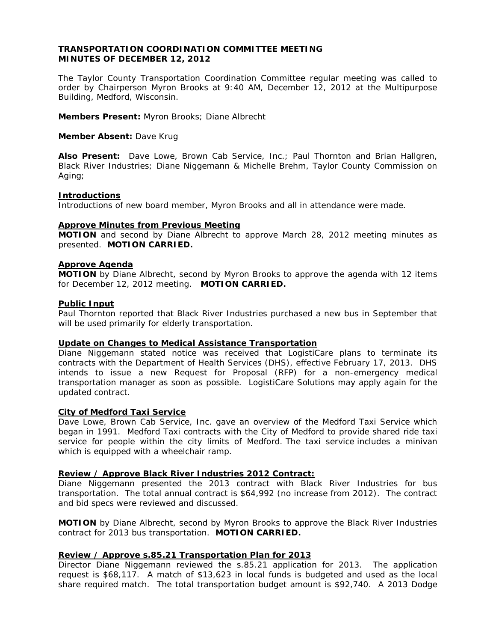# **TRANSPORTATION COORDINATION COMMITTEE MEETING MINUTES OF DECEMBER 12, 2012**

The Taylor County Transportation Coordination Committee regular meeting was called to order by Chairperson Myron Brooks at 9:40 AM, December 12, 2012 at the Multipurpose Building, Medford, Wisconsin.

**Members Present:** Myron Brooks; Diane Albrecht

## **Member Absent:** Dave Krug

**Also Present:** Dave Lowe, Brown Cab Service, Inc.; Paul Thornton and Brian Hallgren, Black River Industries; Diane Niggemann & Michelle Brehm, Taylor County Commission on Aging;

### **Introductions**

Introductions of new board member, Myron Brooks and all in attendance were made.

## **Approve Minutes from Previous Meeting**

**MOTION** and second by Diane Albrecht to approve March 28, 2012 meeting minutes as presented. **MOTION CARRIED.**

### **Approve Agenda**

**MOTION** by Diane Albrecht, second by Myron Brooks to approve the agenda with 12 items for December 12, 2012 meeting. **MOTION CARRIED.**

### **Public Input**

Paul Thornton reported that Black River Industries purchased a new bus in September that will be used primarily for elderly transportation.

## **Update on Changes to Medical Assistance Transportation**

Diane Niggemann stated notice was received that LogistiCare plans to terminate its contracts with the Department of Health Services (DHS), effective February 17, 2013. DHS intends to issue a new Request for Proposal (RFP) for a non-emergency medical transportation manager as soon as possible. LogistiCare Solutions may apply again for the updated contract.

#### **City of Medford Taxi Service**

Dave Lowe, Brown Cab Service, Inc. gave an overview of the Medford Taxi Service which began in 1991. Medford Taxi contracts with the City of Medford to provide shared ride taxi service for people within the city limits of Medford. The taxi service includes a minivan which is equipped with a wheelchair ramp.

## **Review / Approve Black River Industries 2012 Contract:**

Diane Niggemann presented the 2013 contract with Black River Industries for bus transportation. The total annual contract is \$64,992 (no increase from 2012). The contract and bid specs were reviewed and discussed.

**MOTION** by Diane Albrecht, second by Myron Brooks to approve the Black River Industries contract for 2013 bus transportation. **MOTION CARRIED.**

## **Review / Approve s.85.21 Transportation Plan for 2013**

Director Diane Niggemann reviewed the s.85.21 application for 2013. The application request is \$68,117. A match of \$13,623 in local funds is budgeted and used as the local share required match. The total transportation budget amount is \$92,740. A 2013 Dodge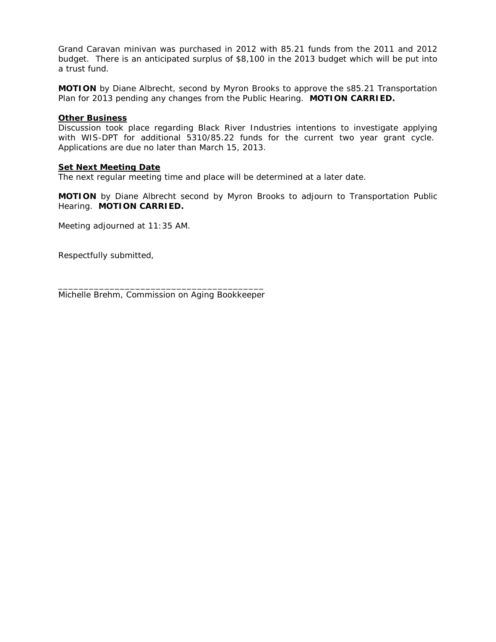Grand Caravan minivan was purchased in 2012 with 85.21 funds from the 2011 and 2012 budget. There is an anticipated surplus of \$8,100 in the 2013 budget which will be put into a trust fund.

**MOTION** by Diane Albrecht, second by Myron Brooks to approve the s85.21 Transportation Plan for 2013 pending any changes from the Public Hearing. **MOTION CARRIED.**

# **Other Business**

Discussion took place regarding Black River Industries intentions to investigate applying with WIS-DPT for additional 5310/85.22 funds for the current two year grant cycle. Applications are due no later than March 15, 2013.

# **Set Next Meeting Date**

The next regular meeting time and place will be determined at a later date.

**MOTION** by Diane Albrecht second by Myron Brooks to adjourn to Transportation Public Hearing. **MOTION CARRIED.**

Meeting adjourned at 11:35 AM.

Respectfully submitted,

\_\_\_\_\_\_\_\_\_\_\_\_\_\_\_\_\_\_\_\_\_\_\_\_\_\_\_\_\_\_\_\_\_\_\_\_\_\_\_\_ Michelle Brehm, Commission on Aging Bookkeeper